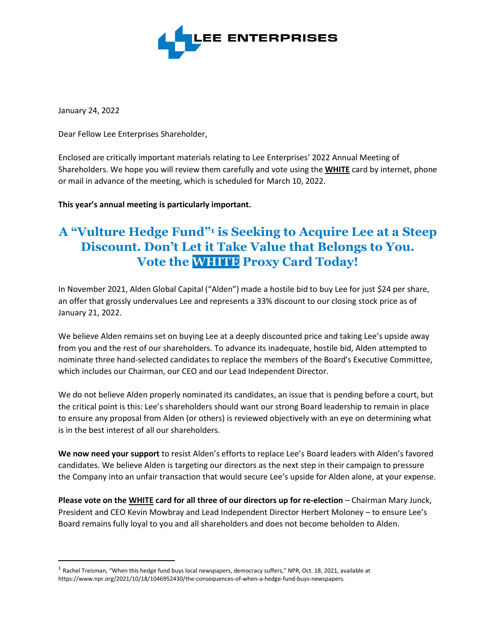

January 24, 2022

Dear Fellow Lee Enterprises Shareholder,

Enclosed are critically important materials relating to Lee Enterprises' 2022 Annual Meeting of Shareholders. We hope you will review them carefully and vote using the **WHITE** card by internet, phone or mail in advance of the meeting, which is scheduled for March 10, 2022.

**This year's annual meeting is particularly important.**

## **A "Vulture Hedge Fund" <sup>1</sup> is Seeking to Acquire Lee at a Steep Discount. Don't Let it Take Value that Belongs to You. Vote the WHITE Proxy Card Today!**

In November 2021, Alden Global Capital ("Alden") made a hostile bid to buy Lee for just \$24 per share, an offer that grossly undervalues Lee and represents a 33% discount to our closing stock price as of January 21, 2022.

We believe Alden remains set on buying Lee at a deeply discounted price and taking Lee's upside away from you and the rest of our shareholders. To advance its inadequate, hostile bid, Alden attempted to nominate three hand-selected candidates to replace the members of the Board's Executive Committee, which includes our Chairman, our CEO and our Lead Independent Director.

We do not believe Alden properly nominated its candidates, an issue that is pending before a court, but the critical point is this: Lee's shareholders should want our strong Board leadership to remain in place to ensure any proposal from Alden (or others) is reviewed objectively with an eye on determining what is in the best interest of all our shareholders.

**We now need your support** to resist Alden's efforts to replace Lee's Board leaders with Alden's favored candidates. We believe Alden is targeting our directors as the next step in their campaign to pressure the Company into an unfair transaction that would secure Lee's upside for Alden alone, at your expense.

**Please vote on the WHITE card for all three of our directors up for re-election** – Chairman Mary Junck, President and CEO Kevin Mowbray and Lead Independent Director Herbert Moloney – to ensure Lee's Board remains fully loyal to you and all shareholders and does not become beholden to Alden.

<sup>&</sup>lt;sup>1</sup> Rachel Treisman, "When this hedge fund buys local newspapers, democracy suffers," NPR, Oct. 18, 2021, available at https://www.npr.org/2021/10/18/1046952430/the-consequences-of-when-a-hedge-fund-buys-newspapers.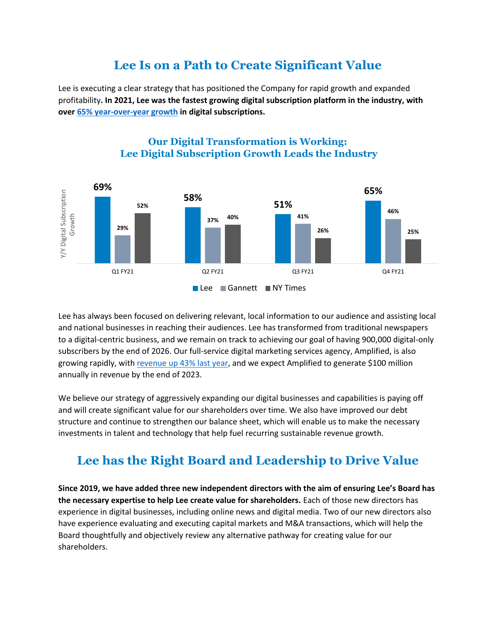### **Lee Is on a Path to Create Significant Value**

Lee is executing a clear strategy that has positioned the Company for rapid growth and expanded profitability**. In 2021, Lee was the fastest growing digital subscription platform in the industry, with over [65% year-over-year growth](https://investors.lee.net/news-releases/news-release-details/lee-enterprises-reports-continued-revenue-and-adjusted-ebitda) in digital subscriptions.**



#### **Our Digital Transformation is Working: Lee Digital Subscription Growth Leads the Industry**

Lee has always been focused on delivering relevant, local information to our audience and assisting local and national businesses in reaching their audiences. Lee has transformed from traditional newspapers to a digital-centric business, and we remain on track to achieving our goal of having 900,000 digital-only subscribers by the end of 2026. Our full-service digital marketing services agency, Amplified, is also growing rapidly, with [revenue up 43% last year,](https://investors.lee.net/news-releases/news-release-details/lee-enterprises-reports-continued-revenue-and-adjusted-ebitda) and we expect Amplified to generate \$100 million annually in revenue by the end of 2023.

We believe our strategy of aggressively expanding our digital businesses and capabilities is paying off and will create significant value for our shareholders over time. We also have improved our debt structure and continue to strengthen our balance sheet, which will enable us to make the necessary investments in talent and technology that help fuel recurring sustainable revenue growth.

# **Lee has the Right Board and Leadership to Drive Value**

**Since 2019, we have added three new independent directors with the aim of ensuring Lee's Board has the necessary expertise to help Lee create value for shareholders.** Each of those new directors has experience in digital businesses, including online news and digital media. Two of our new directors also have experience evaluating and executing capital markets and M&A transactions, which will help the Board thoughtfully and objectively review any alternative pathway for creating value for our shareholders.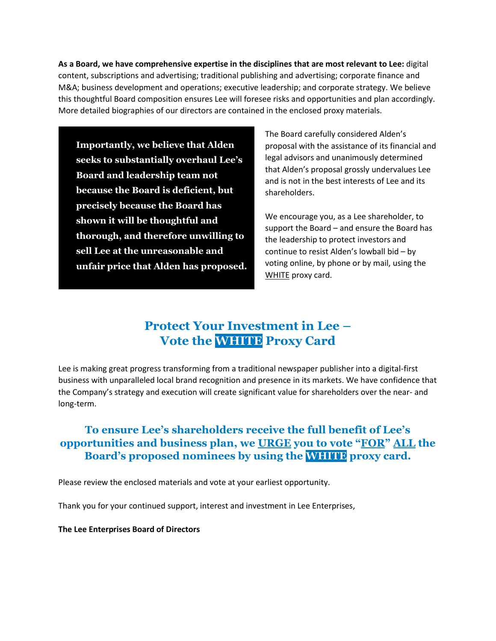**As a Board, we have comprehensive expertise in the disciplines that are most relevant to Lee:** digital content, subscriptions and advertising; traditional publishing and advertising; corporate finance and M&A; business development and operations; executive leadership; and corporate strategy. We believe this thoughtful Board composition ensures Lee will foresee risks and opportunities and plan accordingly. More detailed biographies of our directors are contained in the enclosed proxy materials.

**Importantly, we believe that Alden seeks to substantially overhaul Lee's Board and leadership team not because the Board is deficient, but precisely because the Board has shown it will be thoughtful and thorough, and therefore unwilling to sell Lee at the unreasonable and unfair price that Alden has proposed.**  The Board carefully considered Alden's proposal with the assistance of its financial and legal advisors and unanimously determined that Alden's proposal grossly undervalues Lee and is not in the best interests of Lee and its shareholders.

We encourage you, as a Lee shareholder, to support the Board – and ensure the Board has the leadership to protect investors and continue to resist Alden's lowball bid – by voting online, by phone or by mail, using the WHITE proxy card.

## **Protect Your Investment in Lee – Vote the WHITE Proxy Card**

Lee is making great progress transforming from a traditional newspaper publisher into a digital-first business with unparalleled local brand recognition and presence in its markets. We have confidence that the Company's strategy and execution will create significant value for shareholders over the near- and long-term.

### **To ensure Lee's shareholders receive the full benefit of Lee's opportunities and business plan, we URGE you to vote "FOR" ALL the Board's proposed nominees by using the WHITE proxy card.**

Please review the enclosed materials and vote at your earliest opportunity.

Thank you for your continued support, interest and investment in Lee Enterprises,

**The Lee Enterprises Board of Directors**